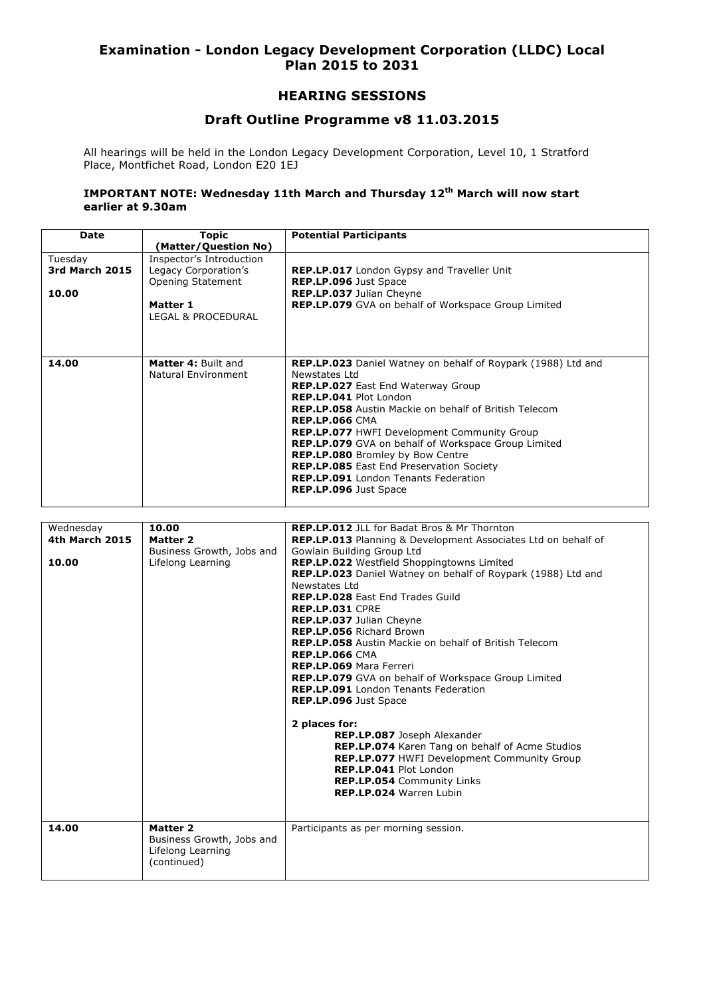# **Examination - London Legacy Development Corporation (LLDC) Local Plan 2015 to 2031**

## **HEARING SESSIONS**

## **Draft Outline Programme v8 11.03.2015**

All hearings will be held in the London Legacy Development Corporation, Level 10, 1 Stratford Place, Montfichet Road, London E20 1EJ

#### **IMPORTANT NOTE: Wednesday 11th March and Thursday 12th March will now start earlier at 9.30am**

| <b>Date</b>           | <b>Topic</b>               | <b>Potential Participants</b>                                       |
|-----------------------|----------------------------|---------------------------------------------------------------------|
|                       | (Matter/Question No)       |                                                                     |
| Tuesday               | Inspector's Introduction   |                                                                     |
| <b>3rd March 2015</b> | Legacy Corporation's       | <b>REP.LP.017</b> London Gypsy and Traveller Unit                   |
|                       | Opening Statement          | <b>REP.LP.096</b> Just Space                                        |
| 10.00                 |                            | REP.LP.037 Julian Cheyne                                            |
|                       | Matter 1                   | <b>REP.LP.079</b> GVA on behalf of Workspace Group Limited          |
|                       | LEGAL & PROCEDURAL         |                                                                     |
|                       |                            |                                                                     |
|                       |                            |                                                                     |
|                       |                            |                                                                     |
| 14.00                 | <b>Matter 4: Built and</b> | <b>REP.LP.023</b> Daniel Watney on behalf of Roypark (1988) Ltd and |
|                       | <b>Natural Environment</b> | Newstates Itd                                                       |
|                       |                            | <b>REP.LP.027</b> East End Waterway Group                           |
|                       |                            | <b>REP.LP.041 Plot London</b>                                       |
|                       |                            | <b>REP.LP.058</b> Austin Mackie on behalf of British Telecom        |
|                       |                            | <b>REP.LP.066 CMA</b>                                               |
|                       |                            | <b>REP.LP.077 HWFI Development Community Group</b>                  |
|                       |                            | REP.LP.079 GVA on behalf of Workspace Group Limited                 |
|                       |                            | <b>REP.LP.080</b> Bromley by Bow Centre                             |
|                       |                            | <b>REP.LP.085</b> East End Preservation Society                     |
|                       |                            | <b>REP.LP.091</b> London Tenants Federation                         |
|                       |                            | <b>REP.LP.096 Just Space</b>                                        |
|                       |                            |                                                                     |

| Wednesday             | 10.00                                 | <b>REP.LP.012</b> JLL for Badat Bros & Mr Thornton                   |
|-----------------------|---------------------------------------|----------------------------------------------------------------------|
| <b>4th March 2015</b> | Matter 2                              | <b>REP.LP.013</b> Planning & Development Associates Ltd on behalf of |
|                       | Business Growth, Jobs and             | Gowlain Building Group Ltd                                           |
| 10.00                 | Lifelong Learning                     | REP.LP.022 Westfield Shoppingtowns Limited                           |
|                       |                                       | <b>REP.LP.023</b> Daniel Watney on behalf of Roypark (1988) Ltd and  |
|                       |                                       | Newstates Itd                                                        |
|                       |                                       | <b>REP.LP.028 East End Trades Guild</b>                              |
|                       |                                       | REP.LP.031 CPRE                                                      |
|                       |                                       | REP.LP.037 Julian Cheyne                                             |
|                       |                                       | REP.LP.056 Richard Brown                                             |
|                       |                                       | <b>REP.LP.058</b> Austin Mackie on behalf of British Telecom         |
|                       |                                       | <b>REP.LP.066 CMA</b>                                                |
|                       |                                       | <b>REP.LP.069 Mara Ferreri</b>                                       |
|                       |                                       | <b>REP.LP.079</b> GVA on behalf of Workspace Group Limited           |
|                       |                                       | <b>REP.LP.091</b> London Tenants Federation                          |
|                       |                                       | REP.LP.096 Just Space                                                |
|                       |                                       |                                                                      |
|                       |                                       | 2 places for:                                                        |
|                       |                                       | REP.LP.087 Joseph Alexander                                          |
|                       |                                       | REP.LP.074 Karen Tang on behalf of Acme Studios                      |
|                       |                                       | REP.LP.077 HWFI Development Community Group                          |
|                       |                                       | <b>REP.LP.041 Plot London</b>                                        |
|                       |                                       | <b>REP.LP.054 Community Links</b>                                    |
|                       |                                       | <b>REP.LP.024 Warren Lubin</b>                                       |
|                       |                                       |                                                                      |
|                       |                                       |                                                                      |
| 14.00                 | Matter 2<br>Business Growth, Jobs and | Participants as per morning session.                                 |
|                       | Lifelong Learning                     |                                                                      |
|                       | (continued)                           |                                                                      |
|                       |                                       |                                                                      |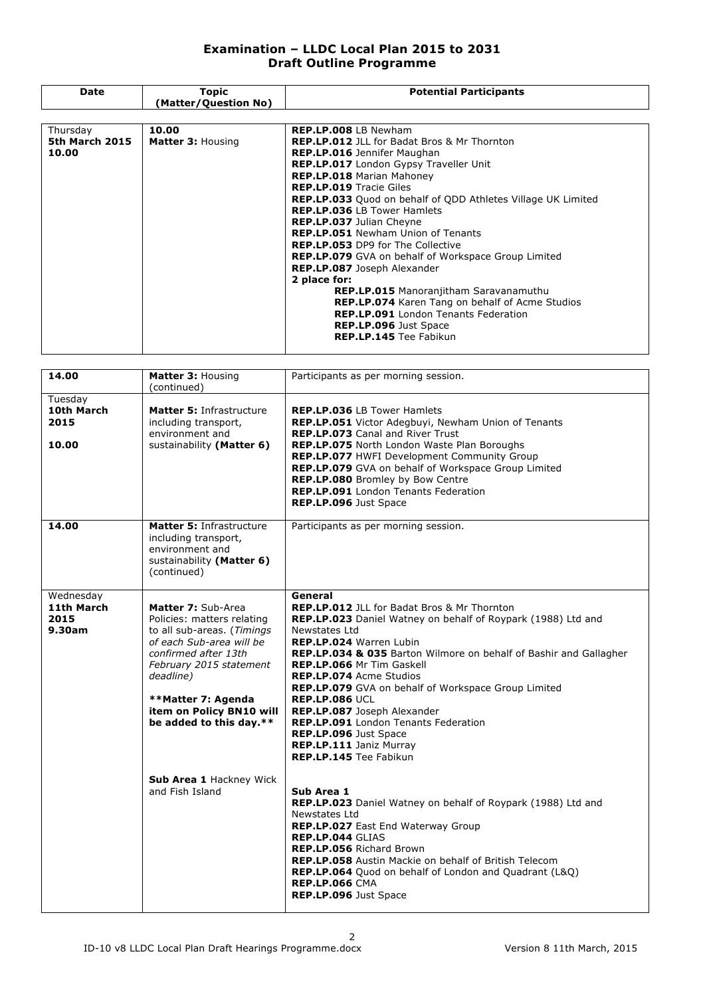### **Examination – LLDC Local Plan 2015 to 2031 Draft Outline Programme**

| Date           | Topic                    | <b>Potential Participants</b>                                       |
|----------------|--------------------------|---------------------------------------------------------------------|
|                | (Matter/Question No)     |                                                                     |
|                |                          |                                                                     |
| Thursday       | 10.00                    | <b>REP.LP.008</b> LB Newham                                         |
| 5th March 2015 | <b>Matter 3: Housing</b> | <b>REP.LP.012</b> JLL for Badat Bros & Mr Thornton                  |
| 10.00          |                          | <b>REP.LP.016</b> Jennifer Maughan                                  |
|                |                          | <b>REP.LP.017</b> London Gypsy Traveller Unit                       |
|                |                          | <b>REP.LP.018 Marian Mahoney</b>                                    |
|                |                          | <b>REP.LP.019 Tracie Giles</b>                                      |
|                |                          | <b>REP.LP.033</b> Quod on behalf of QDD Athletes Village UK Limited |
|                |                          | <b>REP.LP.036 LB Tower Hamlets</b>                                  |
|                |                          | REP.LP.037 Julian Cheyne                                            |
|                |                          | <b>REP.LP.051</b> Newham Union of Tenants                           |
|                |                          | <b>REP.LP.053</b> DP9 for The Collective                            |
|                |                          | <b>REP.LP.079</b> GVA on behalf of Workspace Group Limited          |
|                |                          | REP.LP.087 Joseph Alexander                                         |
|                |                          | 2 place for:                                                        |
|                |                          | <b>REP.LP.015</b> Manoranjitham Saravanamuthu                       |
|                |                          | <b>REP.LP.074</b> Karen Tang on behalf of Acme Studios              |
|                |                          | <b>REP.LP.091</b> London Tenants Federation                         |
|                |                          | <b>REP.LP.096 Just Space</b>                                        |
|                |                          | <b>REP.LP.145</b> Tee Fabikun                                       |
|                |                          |                                                                     |

| 14.00                                     | Matter 3: Housing<br>(continued)                                                                                                                                                                                                                        | Participants as per morning session.                                                                                                                                                                                                                                                                                                                                                                                                                                                                                                                             |
|-------------------------------------------|---------------------------------------------------------------------------------------------------------------------------------------------------------------------------------------------------------------------------------------------------------|------------------------------------------------------------------------------------------------------------------------------------------------------------------------------------------------------------------------------------------------------------------------------------------------------------------------------------------------------------------------------------------------------------------------------------------------------------------------------------------------------------------------------------------------------------------|
| Tuesday<br>10th March<br>2015<br>10.00    | <b>Matter 5: Infrastructure</b><br>including transport,<br>environment and<br>sustainability (Matter 6)                                                                                                                                                 | <b>REP.LP.036 LB Tower Hamlets</b><br>REP.LP.051 Victor Adegbuyi, Newham Union of Tenants<br>REP.LP.073 Canal and River Trust<br><b>REP.LP.075</b> North London Waste Plan Boroughs<br>REP.LP.077 HWFI Development Community Group<br>REP.LP.079 GVA on behalf of Workspace Group Limited<br>REP.LP.080 Bromley by Bow Centre<br>REP.LP.091 London Tenants Federation<br>REP.LP.096 Just Space                                                                                                                                                                   |
| 14.00                                     | <b>Matter 5: Infrastructure</b><br>including transport,<br>environment and<br>sustainability (Matter 6)<br>(continued)                                                                                                                                  | Participants as per morning session.                                                                                                                                                                                                                                                                                                                                                                                                                                                                                                                             |
| Wednesday<br>11th March<br>2015<br>9.30am | Matter 7: Sub-Area<br>Policies: matters relating<br>to all sub-areas. (Timings<br>of each Sub-area will be<br>confirmed after 13th<br>February 2015 statement<br>deadline)<br>**Matter 7: Agenda<br>item on Policy BN10 will<br>be added to this day.** | General<br><b>REP.LP.012</b> JLL for Badat Bros & Mr Thornton<br>REP.LP.023 Daniel Watney on behalf of Roypark (1988) Ltd and<br>Newstates Ltd<br>REP.LP.024 Warren Lubin<br>REP.LP.034 & 035 Barton Wilmore on behalf of Bashir and Gallagher<br><b>REP.LP.066 Mr Tim Gaskell</b><br><b>REP.LP.074 Acme Studios</b><br>REP.LP.079 GVA on behalf of Workspace Group Limited<br><b>REP.LP.086 UCL</b><br>REP.LP.087 Joseph Alexander<br>REP.LP.091 London Tenants Federation<br>REP.LP.096 Just Space<br>REP.LP.111 Janiz Murray<br><b>REP.LP.145</b> Tee Fabikun |
|                                           | Sub Area 1 Hackney Wick<br>and Fish Island                                                                                                                                                                                                              | Sub Area 1<br>REP.LP.023 Daniel Watney on behalf of Roypark (1988) Ltd and<br>Newstates Ltd<br>REP.LP.027 East End Waterway Group<br>REP.LP.044 GLIAS<br><b>REP.LP.056 Richard Brown</b><br><b>REP.LP.058</b> Austin Mackie on behalf of British Telecom<br>REP.LP.064 Quod on behalf of London and Quadrant (L&Q)<br><b>REP.LP.066 CMA</b><br>REP.LP.096 Just Space                                                                                                                                                                                             |